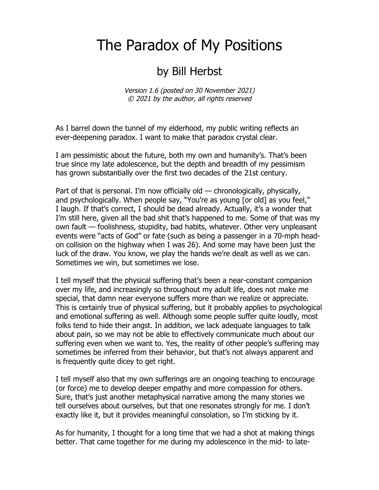## The Paradox of My Positions

## by Bill Herbst

Version 1.6 (posted on 30 November 2021) © 2021 by the author, all rights reserved

As I barrel down the tunnel of my elderhood, my public writing reflects an ever-deepening paradox. I want to make that paradox crystal clear.

I am pessimistic about the future, both my own and humanity's. That's been true since my late adolescence, but the depth and breadth of my pessimism has grown substantially over the first two decades of the 21st century.

Part of that is personal. I'm now officially old — chronologically, physically, and psychologically. When people say, "You're as young [or old] as you feel," I laugh. If that's correct, I should be dead already. Actually, it's a wonder that I'm still here, given all the bad shit that's happened to me. Some of that was my own fault — foolishness, stupidity, bad habits, whatever. Other very unpleasant events were "acts of God" or fate (such as being a passenger in a 70-mph headon collision on the highway when I was 26). And some may have been just the luck of the draw. You know, we play the hands we're dealt as well as we can. Sometimes we win, but sometimes we lose.

I tell myself that the physical suffering that's been a near-constant companion over my life, and increasingly so throughout my adult life, does not make me special, that damn near everyone suffers more than we realize or appreciate. This is certainly true of physical suffering, but it probably applies to psychological and emotional suffering as well. Although some people suffer quite loudly, most folks tend to hide their angst. In addition, we lack adequate languages to talk about pain, so we may not be able to effectively communicate much about our suffering even when we want to. Yes, the reality of other people's suffering may sometimes be inferred from their behavior, but that's not always apparent and is frequently quite dicey to get right.

I tell myself also that my own sufferings are an ongoing teaching to encourage (or force) me to develop deeper empathy and more compassion for others. Sure, that's just another metaphysical narrative among the many stories we tell ourselves about ourselves, but that one resonates strongly for me. I don't exactly like it, but it provides meaningful consolation, so I'm sticking by it.

As for humanity, I thought for a long time that we had a shot at making things better. That came together for me during my adolescence in the mid- to late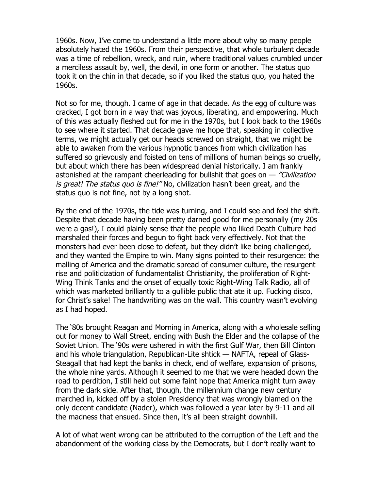1960s. Now, I've come to understand a little more about why so many people absolutely hated the 1960s. From their perspective, that whole turbulent decade was a time of rebellion, wreck, and ruin, where traditional values crumbled under a merciless assault by, well, the devil, in one form or another. The status quo took it on the chin in that decade, so if you liked the status quo, you hated the 1960s.

Not so for me, though. I came of age in that decade. As the egg of culture was cracked, I got born in a way that was joyous, liberating, and empowering. Much of this was actually fleshed out for me in the 1970s, but I look back to the 1960s to see where it started. That decade gave me hope that, speaking in collective terms, we might actually get our heads screwed on straight, that we might be able to awaken from the various hypnotic trances from which civilization has suffered so grievously and foisted on tens of millions of human beings so cruelly, but about which there has been widespread denial historically. I am frankly astonished at the rampant cheerleading for bullshit that goes on  $-$  "Civilization" is great! The status quo is fine!" No, civilization hasn't been great, and the status quo is not fine, not by a long shot.

By the end of the 1970s, the tide was turning, and I could see and feel the shift. Despite that decade having been pretty darned good for me personally (my 20s were a gas!), I could plainly sense that the people who liked Death Culture had marshaled their forces and begun to fight back very effectively. Not that the monsters had ever been close to defeat, but they didn't like being challenged, and they wanted the Empire to win. Many signs pointed to their resurgence: the malling of America and the dramatic spread of consumer culture, the resurgent rise and politicization of fundamentalist Christianity, the proliferation of Right-Wing Think Tanks and the onset of equally toxic Right-Wing Talk Radio, all of which was marketed brilliantly to a gullible public that ate it up. Fucking disco, for Christ's sake! The handwriting was on the wall. This country wasn't evolving as I had hoped.

The '80s brought Reagan and Morning in America, along with a wholesale selling out for money to Wall Street, ending with Bush the Elder and the collapse of the Soviet Union. The '90s were ushered in with the first Gulf War, then Bill Clinton and his whole triangulation, Republican-Lite shtick — NAFTA, repeal of Glass-Steagall that had kept the banks in check, end of welfare, expansion of prisons, the whole nine yards. Although it seemed to me that we were headed down the road to perdition, I still held out some faint hope that America might turn away from the dark side. After that, though, the millennium change new century marched in, kicked off by a stolen Presidency that was wrongly blamed on the only decent candidate (Nader), which was followed a year later by 9-11 and all the madness that ensued. Since then, it's all been straight downhill.

A lot of what went wrong can be attributed to the corruption of the Left and the abandonment of the working class by the Democrats, but I don't really want to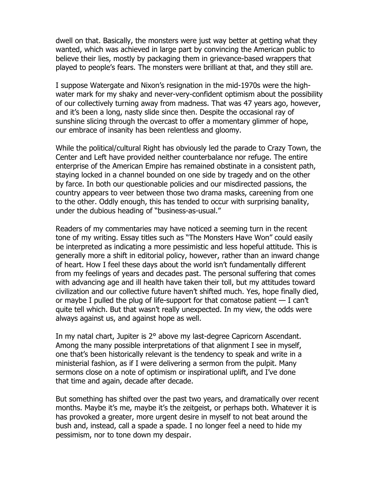dwell on that. Basically, the monsters were just way better at getting what they wanted, which was achieved in large part by convincing the American public to believe their lies, mostly by packaging them in grievance-based wrappers that played to people's fears. The monsters were brilliant at that, and they still are.

I suppose Watergate and Nixon's resignation in the mid-1970s were the highwater mark for my shaky and never-very-confident optimism about the possibility of our collectively turning away from madness. That was 47 years ago, however, and it's been a long, nasty slide since then. Despite the occasional ray of sunshine slicing through the overcast to offer a momentary glimmer of hope, our embrace of insanity has been relentless and gloomy.

While the political/cultural Right has obviously led the parade to Crazy Town, the Center and Left have provided neither counterbalance nor refuge. The entire enterprise of the American Empire has remained obstinate in a consistent path, staying locked in a channel bounded on one side by tragedy and on the other by farce. In both our questionable policies and our misdirected passions, the country appears to veer between those two drama masks, careening from one to the other. Oddly enough, this has tended to occur with surprising banality, under the dubious heading of "business-as-usual."

Readers of my commentaries may have noticed a seeming turn in the recent tone of my writing. Essay titles such as "The Monsters Have Won" could easily be interpreted as indicating a more pessimistic and less hopeful attitude. This is generally more a shift in editorial policy, however, rather than an inward change of heart. How I feel these days about the world isn't fundamentally different from my feelings of years and decades past. The personal suffering that comes with advancing age and ill health have taken their toll, but my attitudes toward civilization and our collective future haven't shifted much. Yes, hope finally died, or maybe I pulled the plug of life-support for that comatose patient — I can't quite tell which. But that wasn't really unexpected. In my view, the odds were always against us, and against hope as well.

In my natal chart, Jupiter is 2° above my last-degree Capricorn Ascendant. Among the many possible interpretations of that alignment I see in myself, one that's been historically relevant is the tendency to speak and write in a ministerial fashion, as if I were delivering a sermon from the pulpit. Many sermons close on a note of optimism or inspirational uplift, and I've done that time and again, decade after decade.

But something has shifted over the past two years, and dramatically over recent months. Maybe it's me, maybe it's the zeitgeist, or perhaps both. Whatever it is has provoked a greater, more urgent desire in myself to not beat around the bush and, instead, call a spade a spade. I no longer feel a need to hide my pessimism, nor to tone down my despair.